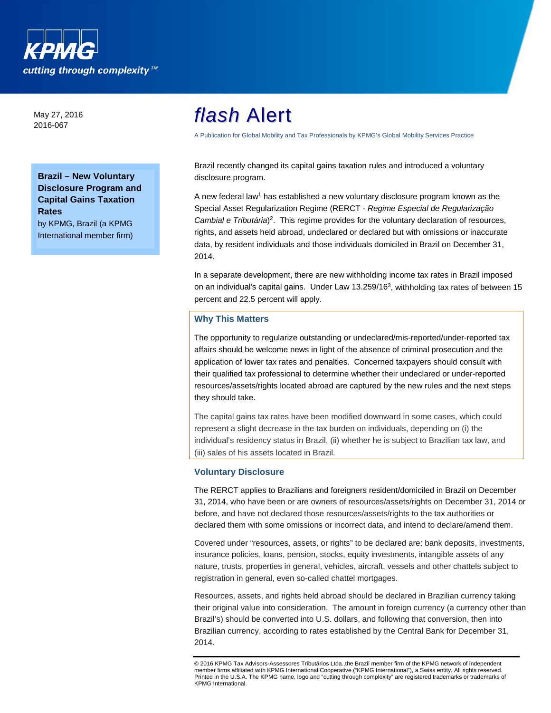

May 27, 2016 2016-067

# **Brazil – New Voluntary Disclosure Program and Capital Gains Taxation Rates**

by KPMG, Brazil (a KPMG International member firm)

# *flash* Alert

A Publication for Global Mobility and Tax Professionals by KPMG's Global Mobility Services Practice

Brazil recently changed its capital gains taxation rules and introduced a voluntary disclosure program.

A new federal law1 has established a new voluntary disclosure program known as the Special Asset Regularization Regime (RERCT - *Regime Especial de Regularização Cambial e Tributária*) 2. This regime provides for the voluntary declaration of resources, rights, and assets held abroad, undeclared or declared but with omissions or inaccurate data, by resident individuals and those individuals domiciled in Brazil on December 31, 2014.

In a separate development, there are new withholding income tax rates in Brazil imposed on an individual's capital gains. Under Law  $13.259/16<sup>3</sup>$ , withholding tax rates of between 15 percent and 22.5 percent will apply.

# **Why This Matters**

The opportunity to regularize outstanding or undeclared/mis-reported/under-reported tax affairs should be welcome news in light of the absence of criminal prosecution and the application of lower tax rates and penalties. Concerned taxpayers should consult with their qualified tax professional to determine whether their undeclared or under-reported resources/assets/rights located abroad are captured by the new rules and the next steps they should take.

The capital gains tax rates have been modified downward in some cases, which could represent a slight decrease in the tax burden on individuals, depending on (i) the individual's residency status in Brazil, (ii) whether he is subject to Brazilian tax law, and (iii) sales of his assets located in Brazil.

## **Voluntary Disclosure**

The RERCT applies to Brazilians and foreigners resident/domiciled in Brazil on December 31, 2014, who have been or are owners of resources/assets/rights on December 31, 2014 or before, and have not declared those resources/assets/rights to the tax authorities or declared them with some omissions or incorrect data, and intend to declare/amend them.

Covered under "resources, assets, or rights" to be declared are: bank deposits, investments, insurance policies, loans, pension, stocks, equity investments, intangible assets of any nature, trusts, properties in general, vehicles, aircraft, vessels and other chattels subject to registration in general, even so-called chattel mortgages.

Resources, assets, and rights held abroad should be declared in Brazilian currency taking their original value into consideration. The amount in foreign currency (a currency other than Brazil's) should be converted into U.S. dollars, and following that conversion, then into Brazilian currency, according to rates established by the Central Bank for December 31, 2014.

<sup>©</sup> 2016 KPMG Tax Advisors-Assessores Tributários Ltda.,the Brazil member firm of the KPMG network of independent member firms affiliated with KPMG International Cooperative ("KPMG International"), a Swiss entity. All rights reserved. Printed in the U.S.A. The KPMG name, logo and "cutting through complexity" are registered trademarks or trademarks of KPMG International.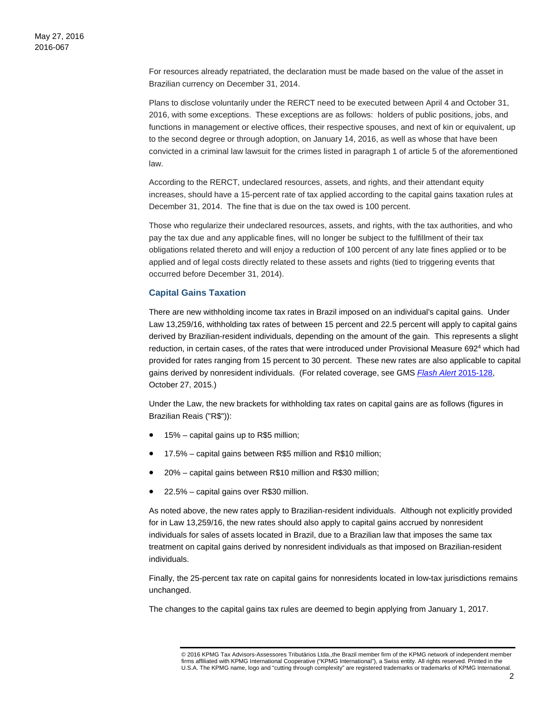For resources already repatriated, the declaration must be made based on the value of the asset in Brazilian currency on December 31, 2014.

Plans to disclose voluntarily under the RERCT need to be executed between April 4 and October 31, 2016, with some exceptions. These exceptions are as follows: holders of public positions, jobs, and functions in management or elective offices, their respective spouses, and next of kin or equivalent, up to the second degree or through adoption, on January 14, 2016, as well as whose that have been convicted in a criminal law lawsuit for the crimes listed in paragraph 1 of article 5 of the aforementioned law.

According to the RERCT, undeclared resources, assets, and rights, and their attendant equity increases, should have a 15-percent rate of tax applied according to the capital gains taxation rules at December 31, 2014. The fine that is due on the tax owed is 100 percent.

Those who regularize their undeclared resources, assets, and rights, with the tax authorities, and who pay the tax due and any applicable fines, will no longer be subject to the fulfillment of their tax obligations related thereto and will enjoy a reduction of 100 percent of any late fines applied or to be applied and of legal costs directly related to these assets and rights (tied to triggering events that occurred before December 31, 2014).

## **Capital Gains Taxation**

There are new withholding income tax rates in Brazil imposed on an individual's capital gains. Under Law 13,259/16, withholding tax rates of between 15 percent and 22.5 percent will apply to capital gains derived by Brazilian-resident individuals, depending on the amount of the gain. This represents a slight reduction, in certain cases, of the rates that were introduced under Provisional Measure 692<sup>4</sup> which had provided for rates ranging from 15 percent to 30 percent. These new rates are also applicable to capital gains derived by nonresident individuals. (For related coverage, see GMS *[Flash Alert](https://home.kpmg.com/xx/en/home/insights/2015/10/flash-alert-2015-128.html)* 2015-128, October 27, 2015.)

Under the Law, the new brackets for withholding tax rates on capital gains are as follows (figures in Brazilian Reais ("R\$")):

- 15% capital gains up to R\$5 million;
- 17.5% capital gains between R\$5 million and R\$10 million;
- 20% capital gains between R\$10 million and R\$30 million;
- 22.5% capital gains over R\$30 million.

As noted above, the new rates apply to Brazilian-resident individuals. Although not explicitly provided for in Law 13,259/16, the new rates should also apply to capital gains accrued by nonresident individuals for sales of assets located in Brazil, due to a Brazilian law that imposes the same tax treatment on capital gains derived by nonresident individuals as that imposed on Brazilian-resident individuals.

Finally, the 25-percent tax rate on capital gains for nonresidents located in low-tax jurisdictions remains unchanged.

The changes to the capital gains tax rules are deemed to begin applying from January 1, 2017.

<sup>© 2016</sup> KPMG Tax Advisors-Assessores Tributários Ltda.,the Brazil member firm of the KPMG network of independent member firms affiliated with KPMG International Cooperative ("KPMG International"), a Swiss entity. All rights reserved. Printed in the U.S.A. The KPMG name, logo and "cutting through complexity" are registered trademarks or trademarks of KPMG International.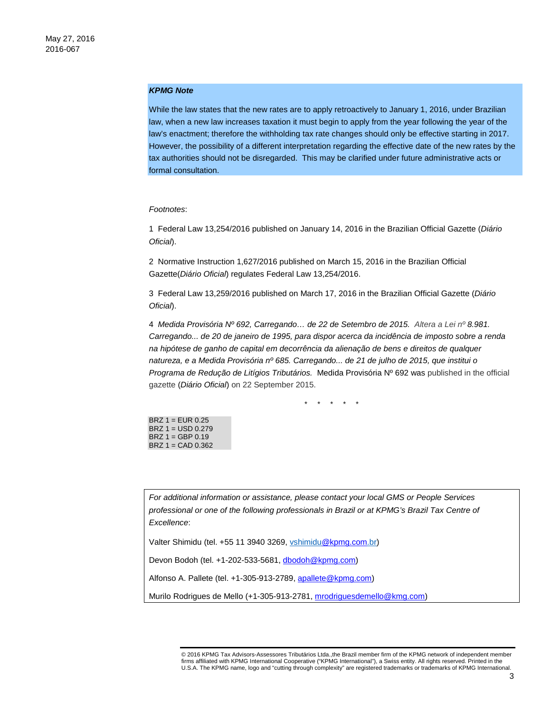#### *KPMG Note*

While the law states that the new rates are to apply retroactively to January 1, 2016, under Brazilian law, when a new law increases taxation it must begin to apply from the year following the year of the law's enactment; therefore the withholding tax rate changes should only be effective starting in 2017. However, the possibility of a different interpretation regarding the effective date of the new rates by the tax authorities should not be disregarded. This may be clarified under future administrative acts or formal consultation.

#### *Footnotes*:

1 Federal Law 13,254/2016 published on January 14, 2016 in the Brazilian Official Gazette (*Diário Oficial*).

2 Normative Instruction 1,627/2016 published on March 15, 2016 in the Brazilian Official Gazette(*Diário Oficial*) regulates Federal Law 13,254/2016.

3 Federal Law 13,259/2016 published on March 17, 2016 in the Brazilian Official Gazette (*Diário Oficial*).

4 *Medida Provisória N[º 692,](http://www.jusbrasil.com.br/legislacao/234891717/medida-provisoria-692-15) Carregando… de 22 de Setembro de 2015. Altera a Lei n[º 8.981.](http://www.jusbrasil.com.br/legislacao/108505/lei-8981-95) Carregando... de 20 de janeiro de 1995, para dispor acerca da incidência de imposto sobre a renda na hipótese de ganho de capital em decorrência da alienação de bens e direitos de qualquer natureza, e a Medida Provisória nº [685.](http://www.jusbrasil.com.br/legislacao/211352947/medida-provisoria-685-15) Carregando... de 21 de julho de 2015, que institui o Programa de Redução de Litígios Tributários.* Medida Provisória Nº [692](http://www.jusbrasil.com.br/legislacao/234891717/medida-provisoria-692-15) was published in the official gazette (*Diário Oficial*) on 22 September 2015.

\* \* \* \* \*

BRZ 1 = EUR 0.25 BRZ 1 = USD 0.279 BRZ 1 = GBP 0.19 BRZ 1 = CAD 0.362

*For additional information or assistance, please contact your local GMS or People Services professional or one of the following professionals in Brazil or at KPMG's Brazil Tax Centre of Excellence*:

Valter Shimidu (tel. +55 11 3940 3269, vshimid[u@kpmg.com.](mailto:dschmidtmeyer@kpmg.com)br)

Devon Bodoh (tel. +1-202-533-5681[, dbodoh@kpmg.com\)](mailto:dbodoh@kpmg.com)

Alfonso A. Pallete (tel. +1-305-913-2789, [apallete@kpmg.com\)](mailto:apallete@kpmg.com)

Murilo Rodrigues de Mello (+1-305-913-2781, [mrodriguesdemello@kmg.com\)](mailto:mrodriguesdemello@kmg.com)

<sup>© 2016</sup> KPMG Tax Advisors-Assessores Tributários Ltda.,the Brazil member firm of the KPMG network of independent member firms affiliated with KPMG International Cooperative ("KPMG International"), a Swiss entity. All rights reserved. Printed in the U.S.A. The KPMG name, logo and "cutting through complexity" are registered trademarks or trademarks of KPMG International.